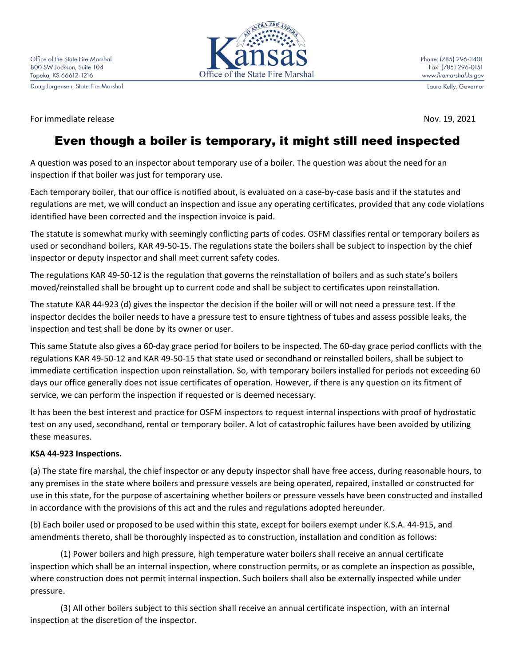Doug Jorgensen, State Fire Marshal

For immediate release Nov. 19, 2021



Laura Kelly, Governor

# Even though a boiler is temporary, it might still need inspected

A question was posed to an inspector about temporary use of a boiler. The question was about the need for an inspection if that boiler was just for temporary use.

Each temporary boiler, that our office is notified about, is evaluated on a case-by-case basis and if the statutes and regulations are met, we will conduct an inspection and issue any operating certificates, provided that any code violations identified have been corrected and the inspection invoice is paid.

The statute is somewhat murky with seemingly conflicting parts of codes. OSFM classifies rental or temporary boilers as used or secondhand boilers, KAR 49-50-15. The regulations state the boilers shall be subject to inspection by the chief inspector or deputy inspector and shall meet current safety codes.

The regulations KAR 49-50-12 is the regulation that governs the reinstallation of boilers and as such state's boilers moved/reinstalled shall be brought up to current code and shall be subject to certificates upon reinstallation.

The statute KAR 44-923 (d) gives the inspector the decision if the boiler will or will not need a pressure test. If the inspector decides the boiler needs to have a pressure test to ensure tightness of tubes and assess possible leaks, the inspection and test shall be done by its owner or user.

This same Statute also gives a 60-day grace period for boilers to be inspected. The 60-day grace period conflicts with the regulations KAR 49-50-12 and KAR 49-50-15 that state used or secondhand or reinstalled boilers, shall be subject to immediate certification inspection upon reinstallation. So, with temporary boilers installed for periods not exceeding 60 days our office generally does not issue certificates of operation. However, if there is any question on its fitment of service, we can perform the inspection if requested or is deemed necessary.

It has been the best interest and practice for OSFM inspectors to request internal inspections with proof of hydrostatic test on any used, secondhand, rental or temporary boiler. A lot of catastrophic failures have been avoided by utilizing these measures.

#### **KSA 44-923 Inspections.**

(a) The state fire marshal, the chief inspector or any deputy inspector shall have free access, during reasonable hours, to any premises in the state where boilers and pressure vessels are being operated, repaired, installed or constructed for use in this state, for the purpose of ascertaining whether boilers or pressure vessels have been constructed and installed in accordance with the provisions of this act and the rules and regulations adopted hereunder.

(b) Each boiler used or proposed to be used within this state, except for boilers exempt under K.S.A. 44-915, and amendments thereto, shall be thoroughly inspected as to construction, installation and condition as follows:

(1) Power boilers and high pressure, high temperature water boilers shall receive an annual certificate inspection which shall be an internal inspection, where construction permits, or as complete an inspection as possible, where construction does not permit internal inspection. Such boilers shall also be externally inspected while under pressure.

(3) All other boilers subject to this section shall receive an annual certificate inspection, with an internal inspection at the discretion of the inspector.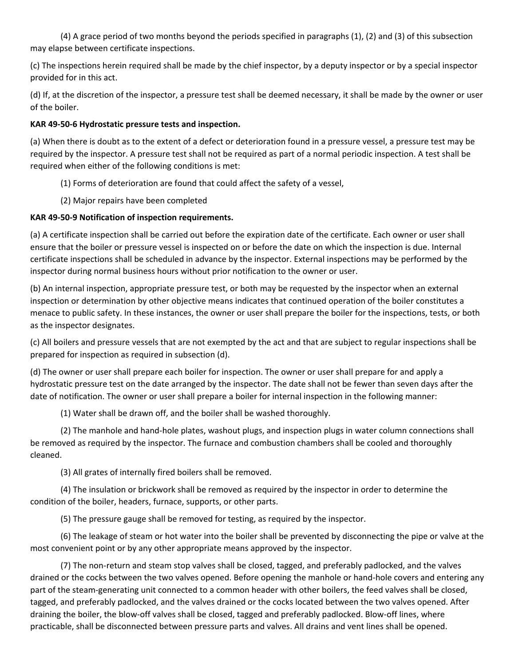(4) A grace period of two months beyond the periods specified in paragraphs (1), (2) and (3) of this subsection may elapse between certificate inspections.

(c) The inspections herein required shall be made by the chief inspector, by a deputy inspector or by a special inspector provided for in this act.

(d) If, at the discretion of the inspector, a pressure test shall be deemed necessary, it shall be made by the owner or user of the boiler.

## **KAR 49-50-6 Hydrostatic pressure tests and inspection.**

(a) When there is doubt as to the extent of a defect or deterioration found in a pressure vessel, a pressure test may be required by the inspector. A pressure test shall not be required as part of a normal periodic inspection. A test shall be required when either of the following conditions is met:

(1) Forms of deterioration are found that could affect the safety of a vessel,

(2) Major repairs have been completed

# **KAR 49-50-9 Notification of inspection requirements.**

(a) A certificate inspection shall be carried out before the expiration date of the certificate. Each owner or user shall ensure that the boiler or pressure vessel is inspected on or before the date on which the inspection is due. Internal certificate inspections shall be scheduled in advance by the inspector. External inspections may be performed by the inspector during normal business hours without prior notification to the owner or user.

(b) An internal inspection, appropriate pressure test, or both may be requested by the inspector when an external inspection or determination by other objective means indicates that continued operation of the boiler constitutes a menace to public safety. In these instances, the owner or user shall prepare the boiler for the inspections, tests, or both as the inspector designates.

(c) All boilers and pressure vessels that are not exempted by the act and that are subject to regular inspections shall be prepared for inspection as required in subsection (d).

(d) The owner or user shall prepare each boiler for inspection. The owner or user shall prepare for and apply a hydrostatic pressure test on the date arranged by the inspector. The date shall not be fewer than seven days after the date of notification. The owner or user shall prepare a boiler for internal inspection in the following manner:

(1) Water shall be drawn off, and the boiler shall be washed thoroughly.

(2) The manhole and hand-hole plates, washout plugs, and inspection plugs in water column connections shall be removed as required by the inspector. The furnace and combustion chambers shall be cooled and thoroughly cleaned.

(3) All grates of internally fired boilers shall be removed.

(4) The insulation or brickwork shall be removed as required by the inspector in order to determine the condition of the boiler, headers, furnace, supports, or other parts.

(5) The pressure gauge shall be removed for testing, as required by the inspector.

(6) The leakage of steam or hot water into the boiler shall be prevented by disconnecting the pipe or valve at the most convenient point or by any other appropriate means approved by the inspector.

(7) The non-return and steam stop valves shall be closed, tagged, and preferably padlocked, and the valves drained or the cocks between the two valves opened. Before opening the manhole or hand-hole covers and entering any part of the steam-generating unit connected to a common header with other boilers, the feed valves shall be closed, tagged, and preferably padlocked, and the valves drained or the cocks located between the two valves opened. After draining the boiler, the blow-off valves shall be closed, tagged and preferably padlocked. Blow-off lines, where practicable, shall be disconnected between pressure parts and valves. All drains and vent lines shall be opened.